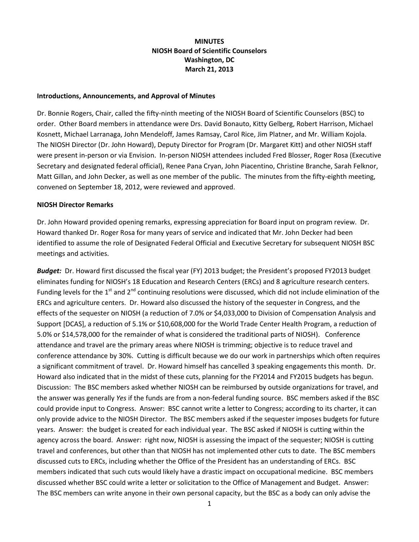# **MINUTES NIOSH Board of Scientific Counselors Washington, DC March 21, 2013**

#### **Introductions, Announcements, and Approval of Minutes**

Dr. Bonnie Rogers, Chair, called the fifty-ninth meeting of the NIOSH Board of Scientific Counselors (BSC) to order. Other Board members in attendance were Drs. David Bonauto, Kitty Gelberg, Robert Harrison, Michael Kosnett, Michael Larranaga, John Mendeloff, James Ramsay, Carol Rice, Jim Platner, and Mr. William Kojola. The NIOSH Director (Dr. John Howard), Deputy Director for Program (Dr. Margaret Kitt) and other NIOSH staff were present in-person or via Envision. In-person NIOSH attendees included Fred Blosser, Roger Rosa (Executive Secretary and designated federal official), Renee Pana Cryan, John Piacentino, Christine Branche, Sarah Felknor, Matt Gillan, and John Decker, as well as one member of the public. The minutes from the fifty-eighth meeting, convened on September 18, 2012, were reviewed and approved.

### **NIOSH Director Remarks**

Dr. John Howard provided opening remarks, expressing appreciation for Board input on program review. Dr. Howard thanked Dr. Roger Rosa for many years of service and indicated that Mr. John Decker had been identified to assume the role of Designated Federal Official and Executive Secretary for subsequent NIOSH BSC meetings and activities.

*Budget:* Dr. Howard first discussed the fiscal year (FY) 2013 budget; the President's proposed FY2013 budget eliminates funding for NIOSH's 18 Education and Research Centers (ERCs) and 8 agriculture research centers. Funding levels for the  $1<sup>st</sup>$  and  $2<sup>nd</sup>$  continuing resolutions were discussed, which did not include elimination of the ERCs and agriculture centers. Dr. Howard also discussed the history of the sequester in Congress, and the effects of the sequester on NIOSH (a reduction of 7.0% or \$4,033,000 to Division of Compensation Analysis and Support [DCAS], a reduction of 5.1% or \$10,608,000 for the World Trade Center Health Program, a reduction of 5.0% or \$14,578,000 for the remainder of what is considered the traditional parts of NIOSH). Conference attendance and travel are the primary areas where NIOSH is trimming; objective is to reduce travel and conference attendance by 30%. Cutting is difficult because we do our work in partnerships which often requires a significant commitment of travel. Dr. Howard himself has cancelled 3 speaking engagements this month. Dr. Howard also indicated that in the midst of these cuts, planning for the FY2014 and FY2015 budgets has begun. Discussion: The BSC members asked whether NIOSH can be reimbursed by outside organizations for travel, and the answer was generally *Yes* if the funds are from a non-federal funding source. BSC members asked if the BSC could provide input to Congress. Answer: BSC cannot write a letter to Congress; according to its charter, it can only provide advice to the NIOSH Director. The BSC members asked if the sequester imposes budgets for future years. Answer: the budget is created for each individual year. The BSC asked if NIOSH is cutting within the agency across the board. Answer: right now, NIOSH is assessing the impact of the sequester; NIOSH is cutting travel and conferences, but other than that NIOSH has not implemented other cuts to date. The BSC members discussed cuts to ERCs, including whether the Office of the President has an understanding of ERCs. BSC members indicated that such cuts would likely have a drastic impact on occupational medicine. BSC members discussed whether BSC could write a letter or solicitation to the Office of Management and Budget. Answer: The BSC members can write anyone in their own personal capacity, but the BSC as a body can only advise the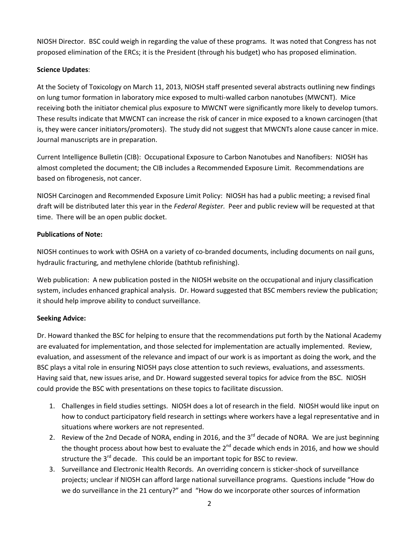NIOSH Director. BSC could weigh in regarding the value of these programs. It was noted that Congress has not proposed elimination of the ERCs; it is the President (through his budget) who has proposed elimination.

# **Science Updates**:

At the Society of Toxicology on March 11, 2013, NIOSH staff presented several abstracts outlining new findings on lung tumor formation in laboratory mice exposed to multi-walled carbon nanotubes (MWCNT). Mice receiving both the initiator chemical plus exposure to MWCNT were significantly more likely to develop tumors. These results indicate that MWCNT can increase the risk of cancer in mice exposed to a known carcinogen (that is, they were cancer initiators/promoters). The study did not suggest that MWCNTs alone cause cancer in mice. Journal manuscripts are in preparation.

Current Intelligence Bulletin (CIB): Occupational Exposure to Carbon Nanotubes and Nanofibers: NIOSH has almost completed the document; the CIB includes a Recommended Exposure Limit. Recommendations are based on fibrogenesis, not cancer.

NIOSH Carcinogen and Recommended Exposure Limit Policy: NIOSH has had a public meeting; a revised final draft will be distributed later this year in the *Federal Register.* Peer and public review will be requested at that time. There will be an open public docket.

# **Publications of Note:**

NIOSH continues to work with OSHA on a variety of co-branded documents, including documents on nail guns, hydraulic fracturing, and methylene chloride (bathtub refinishing).

Web publication: A new publication posted in the NIOSH website on the occupational and injury classification system, includes enhanced graphical analysis. Dr. Howard suggested that BSC members review the publication; it should help improve ability to conduct surveillance.

# **Seeking Advice:**

Dr. Howard thanked the BSC for helping to ensure that the recommendations put forth by the National Academy are evaluated for implementation, and those selected for implementation are actually implemented. Review, evaluation, and assessment of the relevance and impact of our work is as important as doing the work, and the BSC plays a vital role in ensuring NIOSH pays close attention to such reviews, evaluations, and assessments. Having said that, new issues arise, and Dr. Howard suggested several topics for advice from the BSC. NIOSH could provide the BSC with presentations on these topics to facilitate discussion.

- 1. Challenges in field studies settings. NIOSH does a lot of research in the field. NIOSH would like input on how to conduct participatory field research in settings where workers have a legal representative and in situations where workers are not represented.
- 2. Review of the 2nd Decade of NORA, ending in 2016, and the 3<sup>rd</sup> decade of NORA. We are just beginning the thought process about how best to evaluate the  $2^{nd}$  decade which ends in 2016, and how we should structure the  $3^{rd}$  decade. This could be an important topic for BSC to review.
- 3. Surveillance and Electronic Health Records. An overriding concern is sticker-shock of surveillance projects; unclear if NIOSH can afford large national surveillance programs. Questions include "How do we do surveillance in the 21 century?" and "How do we incorporate other sources of information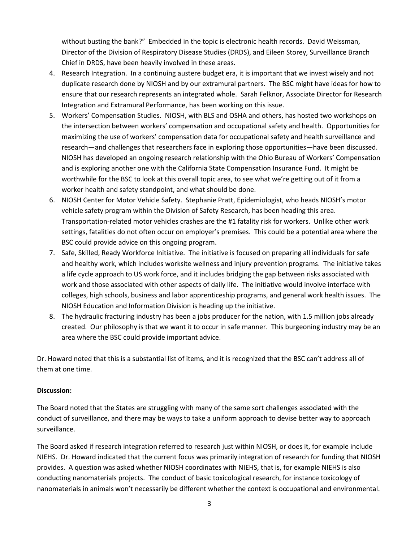without busting the bank?" Embedded in the topic is electronic health records. David Weissman, Director of the Division of Respiratory Disease Studies (DRDS), and Eileen Storey, Surveillance Branch Chief in DRDS, have been heavily involved in these areas.

- 4. Research Integration. In a continuing austere budget era, it is important that we invest wisely and not duplicate research done by NIOSH and by our extramural partners. The BSC might have ideas for how to ensure that our research represents an integrated whole. Sarah Felknor, Associate Director for Research Integration and Extramural Performance, has been working on this issue.
- 5. Workers' Compensation Studies. NIOSH, with BLS and OSHA and others, has hosted two workshops on the intersection between workers' compensation and occupational safety and health. Opportunities for maximizing the use of workers' compensation data for occupational safety and health surveillance and research—and challenges that researchers face in exploring those opportunities—have been discussed. NIOSH has developed an ongoing research relationship with the Ohio Bureau of Workers' Compensation and is exploring another one with the California State Compensation Insurance Fund. It might be worthwhile for the BSC to look at this overall topic area, to see what we're getting out of it from a worker health and safety standpoint, and what should be done.
- 6. NIOSH Center for Motor Vehicle Safety. Stephanie Pratt, Epidemiologist, who heads NIOSH's motor vehicle safety program within the Division of Safety Research, has been heading this area. Transportation-related motor vehicles crashes are the #1 fatality risk for workers. Unlike other work settings, fatalities do not often occur on employer's premises. This could be a potential area where the BSC could provide advice on this ongoing program.
- 7. Safe, Skilled, Ready Workforce Initiative. The initiative is focused on preparing all individuals for safe and healthy work, which includes worksite wellness and injury prevention programs. The initiative takes a life cycle approach to US work force, and it includes bridging the gap between risks associated with work and those associated with other aspects of daily life. The initiative would involve interface with colleges, high schools, business and labor apprenticeship programs, and general work health issues. The NIOSH Education and Information Division is heading up the initiative.
- 8. The hydraulic fracturing industry has been a jobs producer for the nation, with 1.5 million jobs already created. Our philosophy is that we want it to occur in safe manner. This burgeoning industry may be an area where the BSC could provide important advice.

Dr. Howard noted that this is a substantial list of items, and it is recognized that the BSC can't address all of them at one time.

# **Discussion:**

The Board noted that the States are struggling with many of the same sort challenges associated with the conduct of surveillance, and there may be ways to take a uniform approach to devise better way to approach surveillance.

The Board asked if research integration referred to research just within NIOSH, or does it, for example include NIEHS. Dr. Howard indicated that the current focus was primarily integration of research for funding that NIOSH provides. A question was asked whether NIOSH coordinates with NIEHS, that is, for example NIEHS is also conducting nanomaterials projects. The conduct of basic toxicological research, for instance toxicology of nanomaterials in animals won't necessarily be different whether the context is occupational and environmental.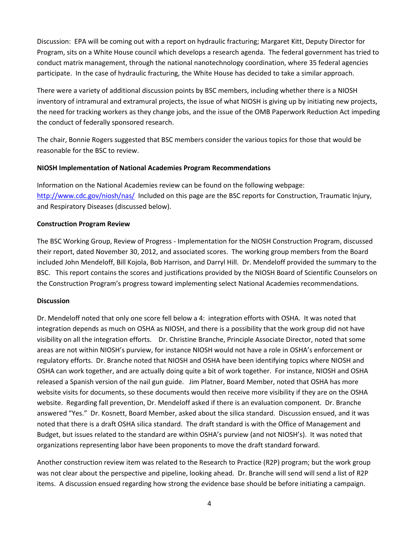Discussion: EPA will be coming out with a report on hydraulic fracturing; Margaret Kitt, Deputy Director for Program, sits on a White House council which develops a research agenda. The federal government has tried to conduct matrix management, through the national nanotechnology coordination, where 35 federal agencies participate. In the case of hydraulic fracturing, the White House has decided to take a similar approach.

There were a variety of additional discussion points by BSC members, including whether there is a NIOSH inventory of intramural and extramural projects, the issue of what NIOSH is giving up by initiating new projects, the need for tracking workers as they change jobs, and the issue of the OMB Paperwork Reduction Act impeding the conduct of federally sponsored research.

The chair, Bonnie Rogers suggested that BSC members consider the various topics for those that would be reasonable for the BSC to review.

# **NIOSH Implementation of National Academies Program Recommendations**

Information on the National Academies review can be found on the following webpage: <http://www.cdc.gov/niosh/nas/>Included on this page are the BSC reports for Construction, Traumatic Injury, and Respiratory Diseases (discussed below).

# **Construction Program Review**

The BSC Working Group, Review of Progress - Implementation for the NIOSH Construction Program, discussed their report, dated November 30, 2012, and associated scores. The working group members from the Board included John Mendeloff, Bill Kojola, Bob Harrison, and Darryl Hill. Dr. Mendeloff provided the summary to the BSC. This report contains the scores and justifications provided by the NIOSH Board of Scientific Counselors on the Construction Program's progress toward implementing select National Academies recommendations.

# **Discussion**

Dr. Mendeloff noted that only one score fell below a 4: integration efforts with OSHA. It was noted that integration depends as much on OSHA as NIOSH, and there is a possibility that the work group did not have visibility on all the integration efforts. Dr. Christine Branche, Principle Associate Director, noted that some areas are not within NIOSH's purview, for instance NIOSH would not have a role in OSHA's enforcement or regulatory efforts. Dr. Branche noted that NIOSH and OSHA have been identifying topics where NIOSH and OSHA can work together, and are actually doing quite a bit of work together. For instance, NIOSH and OSHA released a Spanish version of the nail gun guide. Jim Platner, Board Member, noted that OSHA has more website visits for documents, so these documents would then receive more visibility if they are on the OSHA website. Regarding fall prevention, Dr. Mendeloff asked if there is an evaluation component. Dr. Branche answered "Yes." Dr. Kosnett, Board Member, asked about the silica standard. Discussion ensued, and it was noted that there is a draft OSHA silica standard. The draft standard is with the Office of Management and Budget, but issues related to the standard are within OSHA's purview (and not NIOSH's). It was noted that organizations representing labor have been proponents to move the draft standard forward.

Another construction review item was related to the Research to Practice (R2P) program; but the work group was not clear about the perspective and pipeline, looking ahead. Dr. Branche will send will send a list of R2P items. A discussion ensued regarding how strong the evidence base should be before initiating a campaign.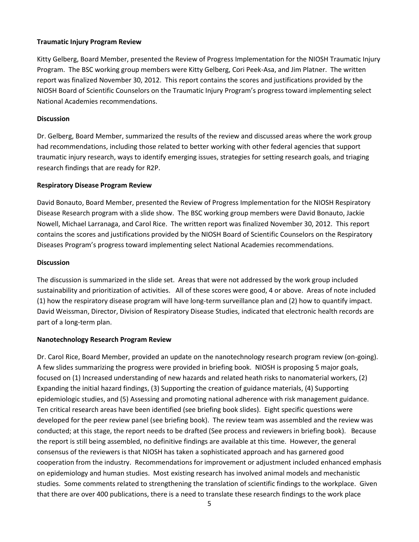# **Traumatic Injury Program Review**

Kitty Gelberg, Board Member, presented the Review of Progress Implementation for the NIOSH Traumatic Injury Program. The BSC working group members were Kitty Gelberg, Cori Peek-Asa, and Jim Platner. The written report was finalized November 30, 2012. This report contains the scores and justifications provided by the NIOSH Board of Scientific Counselors on the Traumatic Injury Program's progress toward implementing select National Academies recommendations.

### **Discussion**

Dr. Gelberg, Board Member, summarized the results of the review and discussed areas where the work group had recommendations, including those related to better working with other federal agencies that support traumatic injury research, ways to identify emerging issues, strategies for setting research goals, and triaging research findings that are ready for R2P.

### **Respiratory Disease Program Review**

David Bonauto, Board Member, presented the Review of Progress Implementation for the NIOSH Respiratory Disease Research program with a slide show. The BSC working group members were David Bonauto, Jackie Nowell, Michael Larranaga, and Carol Rice. The written report was finalized November 30, 2012. This report contains the scores and justifications provided by the NIOSH Board of Scientific Counselors on the Respiratory Diseases Program's progress toward implementing select National Academies recommendations.

### **Discussion**

The discussion is summarized in the slide set. Areas that were not addressed by the work group included sustainability and prioritization of activities. All of these scores were good, 4 or above. Areas of note included (1) how the respiratory disease program will have long-term surveillance plan and (2) how to quantify impact. David Weissman, Director, Division of Respiratory Disease Studies, indicated that electronic health records are part of a long-term plan.

#### **Nanotechnology Research Program Review**

Dr. Carol Rice, Board Member, provided an update on the nanotechnology research program review (on-going). A few slides summarizing the progress were provided in briefing book. NIOSH is proposing 5 major goals, focused on (1) Increased understanding of new hazards and related heath risks to nanomaterial workers, (2) Expanding the initial hazard findings, (3) Supporting the creation of guidance materials, (4) Supporting epidemiologic studies, and (5) Assessing and promoting national adherence with risk management guidance. Ten critical research areas have been identified (see briefing book slides). Eight specific questions were developed for the peer review panel (see briefing book). The review team was assembled and the review was conducted; at this stage, the report needs to be drafted (See process and reviewers in briefing book). Because the report is still being assembled, no definitive findings are available at this time. However, the general consensus of the reviewers is that NIOSH has taken a sophisticated approach and has garnered good cooperation from the industry. Recommendations for improvement or adjustment included enhanced emphasis on epidemiology and human studies. Most existing research has involved animal models and mechanistic studies. Some comments related to strengthening the translation of scientific findings to the workplace. Given that there are over 400 publications, there is a need to translate these research findings to the work place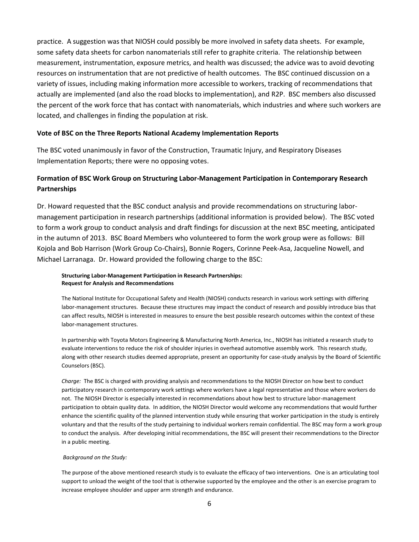practice. A suggestion was that NIOSH could possibly be more involved in safety data sheets. For example, some safety data sheets for carbon nanomaterials still refer to graphite criteria. The relationship between measurement, instrumentation, exposure metrics, and health was discussed; the advice was to avoid devoting resources on instrumentation that are not predictive of health outcomes. The BSC continued discussion on a variety of issues, including making information more accessible to workers, tracking of recommendations that actually are implemented (and also the road blocks to implementation), and R2P. BSC members also discussed the percent of the work force that has contact with nanomaterials, which industries and where such workers are located, and challenges in finding the population at risk.

#### **Vote of BSC on the Three Reports National Academy Implementation Reports**

The BSC voted unanimously in favor of the Construction, Traumatic Injury, and Respiratory Diseases Implementation Reports; there were no opposing votes.

# **Formation of BSC Work Group on Structuring Labor-Management Participation in Contemporary Research Partnerships**

Dr. Howard requested that the BSC conduct analysis and provide recommendations on structuring labormanagement participation in research partnerships (additional information is provided below). The BSC voted to form a work group to conduct analysis and draft findings for discussion at the next BSC meeting, anticipated in the autumn of 2013. BSC Board Members who volunteered to form the work group were as follows: Bill Kojola and Bob Harrison (Work Group Co-Chairs), Bonnie Rogers, Corinne Peek-Asa, Jacqueline Nowell, and Michael Larranaga. Dr. Howard provided the following charge to the BSC:

#### **Structuring Labor-Management Participation in Research Partnerships: Request for Analysis and Recommendations**

The National Institute for Occupational Safety and Health (NIOSH) conducts research in various work settings with differing labor-management structures. Because these structures may impact the conduct of research and possibly introduce bias that can affect results, NIOSH is interested in measures to ensure the best possible research outcomes within the context of these labor-management structures.

In partnership with Toyota Motors Engineering & Manufacturing North America, Inc., NIOSH has initiated a research study to evaluate interventions to reduce the risk of shoulder injuries in overhead automotive assembly work. This research study, along with other research studies deemed appropriate, present an opportunity for case-study analysis by the Board of Scientific Counselors (BSC).

*Charge:* The BSC is charged with providing analysis and recommendations to the NIOSH Director on how best to conduct participatory research in contemporary work settings where workers have a legal representative and those where workers do not. The NIOSH Director is especially interested in recommendations about how best to structure labor-management participation to obtain quality data. In addition, the NIOSH Director would welcome any recommendations that would further enhance the scientific quality of the planned intervention study while ensuring that worker participation in the study is entirely voluntary and that the results of the study pertaining to individual workers remain confidential. The BSC may form a work group to conduct the analysis. After developing initial recommendations, the BSC will present their recommendations to the Director in a public meeting.

#### *Background on the Study:*

The purpose of the above mentioned research study is to evaluate the efficacy of two interventions. One is an articulating tool support to unload the weight of the tool that is otherwise supported by the employee and the other is an exercise program to increase employee shoulder and upper arm strength and endurance.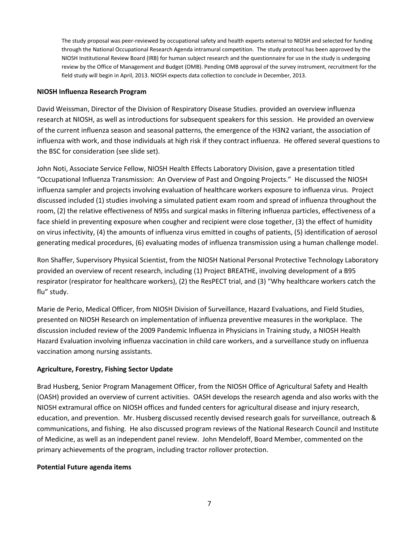The study proposal was peer-reviewed by occupational safety and health experts external to NIOSH and selected for funding through the National Occupational Research Agenda intramural competition. The study protocol has been approved by the NIOSH Institutional Review Board (IRB) for human subject research and the questionnaire for use in the study is undergoing review by the Office of Management and Budget (OMB). Pending OMB approval of the survey instrument, recruitment for the field study will begin in April, 2013. NIOSH expects data collection to conclude in December, 2013.

# **NIOSH Influenza Research Program**

David Weissman, Director of the Division of Respiratory Disease Studies. provided an overview influenza research at NIOSH, as well as introductions for subsequent speakers for this session. He provided an overview of the current influenza season and seasonal patterns, the emergence of the H3N2 variant, the association of influenza with work, and those individuals at high risk if they contract influenza. He offered several questions to the BSC for consideration (see slide set).

John Noti, Associate Service Fellow, NIOSH Health Effects Laboratory Division, gave a presentation titled "Occupational Influenza Transmission: An Overview of Past and Ongoing Projects." He discussed the NIOSH influenza sampler and projects involving evaluation of healthcare workers exposure to influenza virus. Project discussed included (1) studies involving a simulated patient exam room and spread of influenza throughout the room, (2) the relative effectiveness of N95s and surgical masks in filtering influenza particles, effectiveness of a face shield in preventing exposure when cougher and recipient were close together, (3) the effect of humidity on virus infectivity, (4) the amounts of influenza virus emitted in coughs of patients, (5) identification of aerosol generating medical procedures, (6) evaluating modes of influenza transmission using a human challenge model.

Ron Shaffer, Supervisory Physical Scientist, from the NIOSH National Personal Protective Technology Laboratory provided an overview of recent research, including (1) Project BREATHE, involving development of a B95 respirator (respirator for healthcare workers), (2) the ResPECT trial, and (3) "Why healthcare workers catch the flu" study.

Marie de Perio, Medical Officer, from NIOSH Division of Surveillance, Hazard Evaluations, and Field Studies, presented on NIOSH Research on implementation of influenza preventive measures in the workplace. The discussion included review of the 2009 Pandemic Influenza in Physicians in Training study, a NIOSH Health Hazard Evaluation involving influenza vaccination in child care workers, and a surveillance study on influenza vaccination among nursing assistants.

# **Agriculture, Forestry, Fishing Sector Update**

Brad Husberg, Senior Program Management Officer, from the NIOSH Office of Agricultural Safety and Health (OASH) provided an overview of current activities. OASH develops the research agenda and also works with the NIOSH extramural office on NIOSH offices and funded centers for agricultural disease and injury research, education, and prevention. Mr. Husberg discussed recently devised research goals for surveillance, outreach & communications, and fishing. He also discussed program reviews of the National Research Council and Institute of Medicine, as well as an independent panel review. John Mendeloff, Board Member, commented on the primary achievements of the program, including tractor rollover protection.

# **Potential Future agenda items**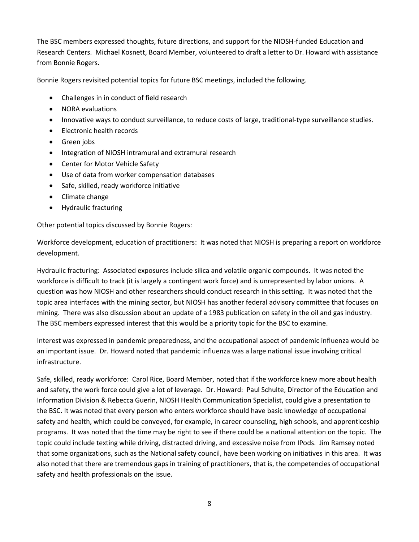The BSC members expressed thoughts, future directions, and support for the NIOSH-funded Education and Research Centers. Michael Kosnett, Board Member, volunteered to draft a letter to Dr. Howard with assistance from Bonnie Rogers.

Bonnie Rogers revisited potential topics for future BSC meetings, included the following.

- Challenges in in conduct of field research
- NORA evaluations
- Innovative ways to conduct surveillance, to reduce costs of large, traditional-type surveillance studies.
- Electronic health records
- Green jobs
- Integration of NIOSH intramural and extramural research
- Center for Motor Vehicle Safety
- Use of data from worker compensation databases
- Safe, skilled, ready workforce initiative
- Climate change
- Hydraulic fracturing

Other potential topics discussed by Bonnie Rogers:

Workforce development, education of practitioners: It was noted that NIOSH is preparing a report on workforce development.

Hydraulic fracturing: Associated exposures include silica and volatile organic compounds. It was noted the workforce is difficult to track (it is largely a contingent work force) and is unrepresented by labor unions. A question was how NIOSH and other researchers should conduct research in this setting. It was noted that the topic area interfaces with the mining sector, but NIOSH has another federal advisory committee that focuses on mining. There was also discussion about an update of a 1983 publication on safety in the oil and gas industry. The BSC members expressed interest that this would be a priority topic for the BSC to examine.

Interest was expressed in pandemic preparedness, and the occupational aspect of pandemic influenza would be an important issue. Dr. Howard noted that pandemic influenza was a large national issue involving critical infrastructure.

Safe, skilled, ready workforce: Carol Rice, Board Member, noted that if the workforce knew more about health and safety, the work force could give a lot of leverage. Dr. Howard: Paul Schulte, Director of the Education and Information Division & Rebecca Guerin, NIOSH Health Communication Specialist, could give a presentation to the BSC. It was noted that every person who enters workforce should have basic knowledge of occupational safety and health, which could be conveyed, for example, in career counseling, high schools, and apprenticeship programs. It was noted that the time may be right to see if there could be a national attention on the topic. The topic could include texting while driving, distracted driving, and excessive noise from IPods. Jim Ramsey noted that some organizations, such as the National safety council, have been working on initiatives in this area. It was also noted that there are tremendous gaps in training of practitioners, that is, the competencies of occupational safety and health professionals on the issue.